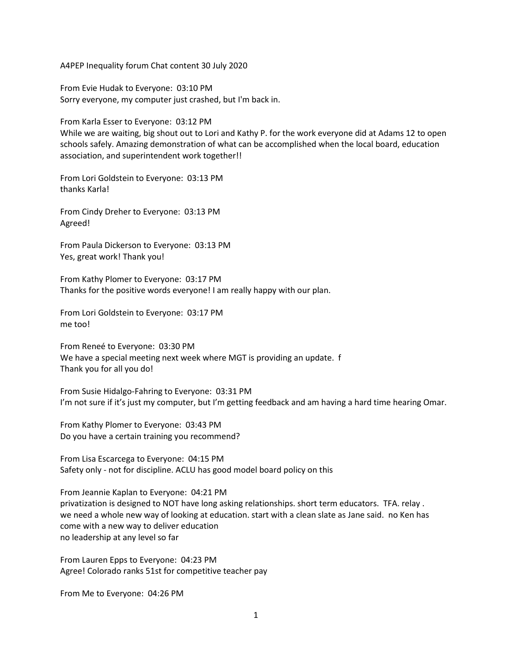A4PEP Inequality forum Chat content 30 July 2020

From Evie Hudak to Everyone: 03:10 PM Sorry everyone, my computer just crashed, but I'm back in.

From Karla Esser to Everyone: 03:12 PM

While we are waiting, big shout out to Lori and Kathy P. for the work everyone did at Adams 12 to open schools safely. Amazing demonstration of what can be accomplished when the local board, education association, and superintendent work together!!

From Lori Goldstein to Everyone: 03:13 PM thanks Karla!

From Cindy Dreher to Everyone: 03:13 PM Agreed!

From Paula Dickerson to Everyone: 03:13 PM Yes, great work! Thank you!

From Kathy Plomer to Everyone: 03:17 PM Thanks for the positive words everyone! I am really happy with our plan.

From Lori Goldstein to Everyone: 03:17 PM me too!

From Reneé to Everyone: 03:30 PM We have a special meeting next week where MGT is providing an update. f Thank you for all you do!

From Susie Hidalgo-Fahring to Everyone: 03:31 PM I'm not sure if it's just my computer, but I'm getting feedback and am having a hard time hearing Omar.

From Kathy Plomer to Everyone: 03:43 PM Do you have a certain training you recommend?

From Lisa Escarcega to Everyone: 04:15 PM Safety only - not for discipline. ACLU has good model board policy on this

From Jeannie Kaplan to Everyone: 04:21 PM privatization is designed to NOT have long asking relationships. short term educators. TFA. relay . we need a whole new way of looking at education. start with a clean slate as Jane said. no Ken has come with a new way to deliver education no leadership at any level so far

From Lauren Epps to Everyone: 04:23 PM Agree! Colorado ranks 51st for competitive teacher pay

From Me to Everyone: 04:26 PM